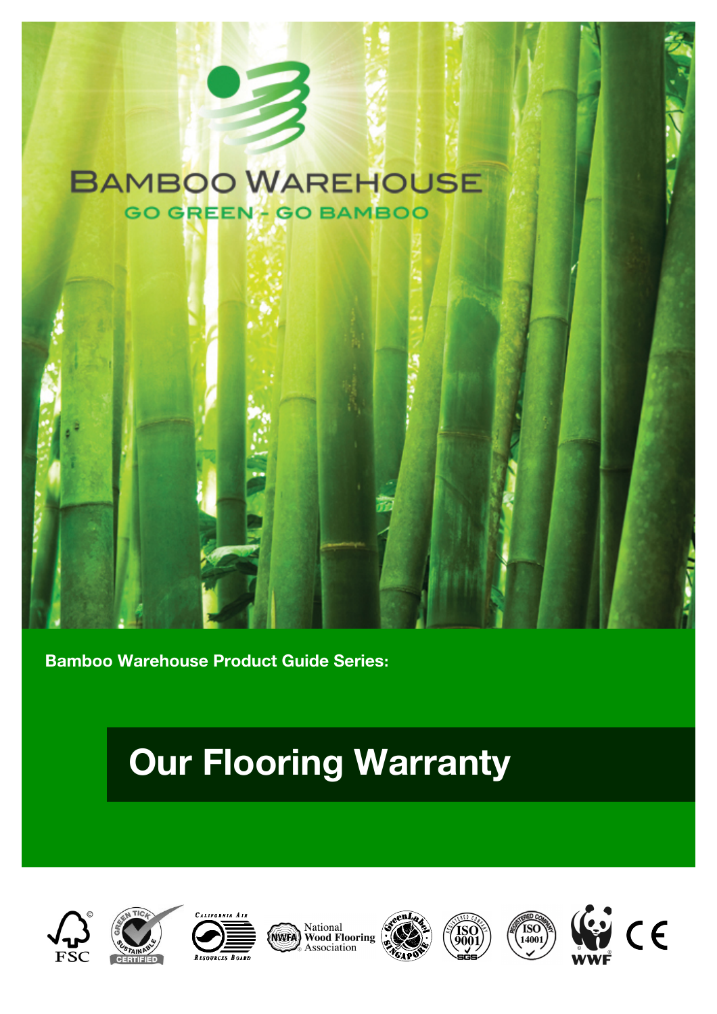## **BAMBOO WAREHOUSE GO GREEN- GO BAMBOO**



## **Our Flooring Warranty**







**National**<br>**NGC 2006**<br>**NGC 2006**<br>**NGC 2006**<br>**NGC 2006**<br>**NGC 2006**<br>**NGC 2006**<br>**NGC 2006**<br>**NGC 2006**<br>**NGC 2006**<br>**NGC 2006** 







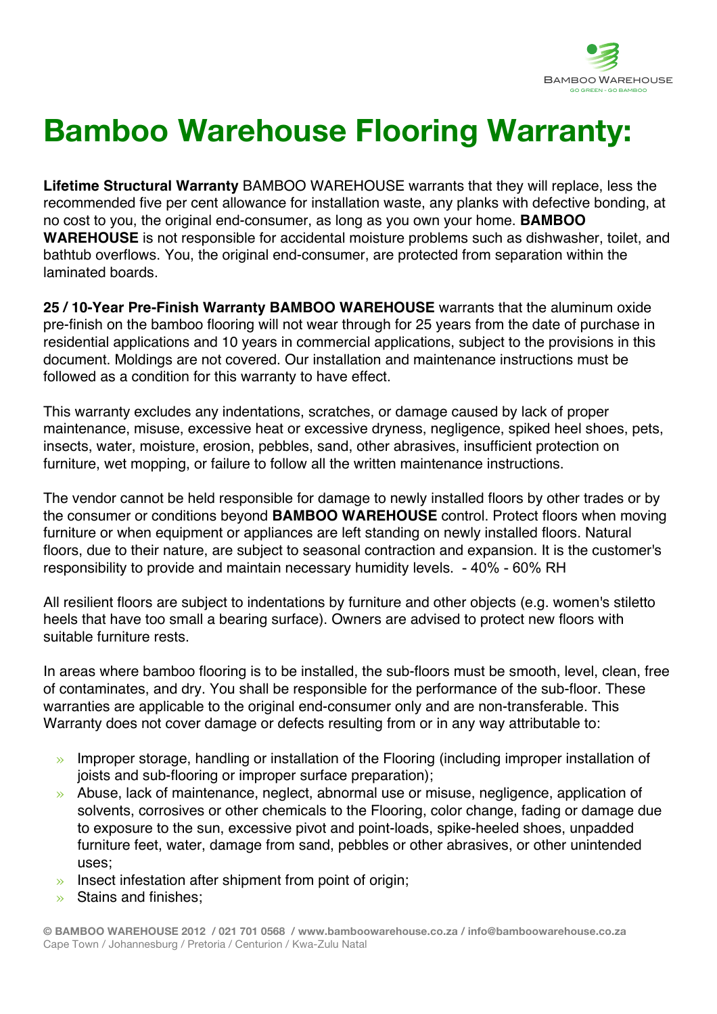

## **Bamboo Warehouse Flooring Warranty:**

**Lifetime Structural Warranty** BAMBOO WAREHOUSE warrants that they will replace, less the recommended five per cent allowance for installation waste, any planks with defective bonding, at no cost to you, the original end-consumer, as long as you own your home. **BAMBOO WAREHOUSE** is not responsible for accidental moisture problems such as dishwasher, toilet, and bathtub overflows. You, the original end-consumer, are protected from separation within the laminated boards.

**25 / 10-Year Pre-Finish Warranty BAMBOO WAREHOUSE** warrants that the aluminum oxide pre-finish on the bamboo flooring will not wear through for 25 years from the date of purchase in residential applications and 10 years in commercial applications, subject to the provisions in this document. Moldings are not covered. Our installation and maintenance instructions must be followed as a condition for this warranty to have effect.

This warranty excludes any indentations, scratches, or damage caused by lack of proper maintenance, misuse, excessive heat or excessive dryness, negligence, spiked heel shoes, pets, insects, water, moisture, erosion, pebbles, sand, other abrasives, insufficient protection on furniture, wet mopping, or failure to follow all the written maintenance instructions.

The vendor cannot be held responsible for damage to newly installed floors by other trades or by the consumer or conditions beyond **BAMBOO WAREHOUSE** control. Protect floors when moving furniture or when equipment or appliances are left standing on newly installed floors. Natural floors, due to their nature, are subject to seasonal contraction and expansion. It is the customer's responsibility to provide and maintain necessary humidity levels. - 40% - 60% RH

All resilient floors are subject to indentations by furniture and other objects (e.g. women's stiletto heels that have too small a bearing surface). Owners are advised to protect new floors with suitable furniture rests.

In areas where bamboo flooring is to be installed, the sub-floors must be smooth, level, clean, free of contaminates, and dry. You shall be responsible for the performance of the sub-floor. These warranties are applicable to the original end-consumer only and are non-transferable. This Warranty does not cover damage or defects resulting from or in any way attributable to:

- » Improper storage, handling or installation of the Flooring (including improper installation of joists and sub-flooring or improper surface preparation);
- » Abuse, lack of maintenance, neglect, abnormal use or misuse, negligence, application of solvents, corrosives or other chemicals to the Flooring, color change, fading or damage due to exposure to the sun, excessive pivot and point-loads, spike-heeled shoes, unpadded furniture feet, water, damage from sand, pebbles or other abrasives, or other unintended uses;
- » Insect infestation after shipment from point of origin;
- » Stains and finishes;